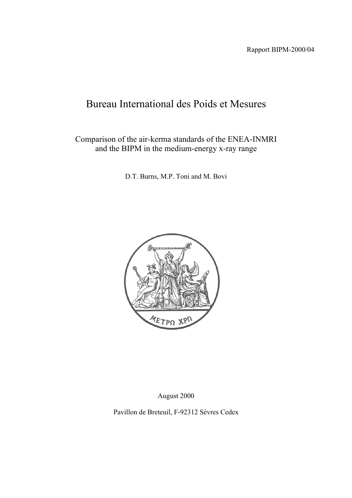# Bureau International des Poids et Mesures

Comparison of the air-kerma standards of the ENEA-INMRI and the BIPM in the medium-energy x-ray range

D.T. Burns, M.P. Toni and M. Bovi



August 2000

Pavillon de Breteuil, F-92312 Sèvres Cedex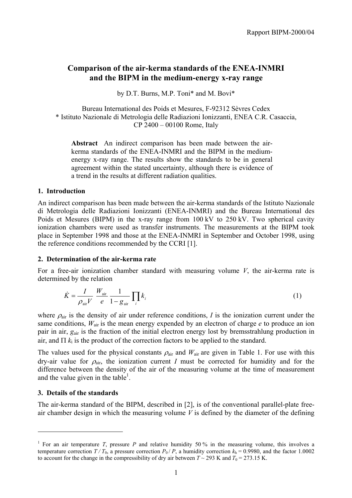# **Comparison of the air-kerma standards of the ENEA-INMRI and the BIPM in the medium-energy x-ray range**

by D.T. Burns, M.P. Toni\* and M. Bovi\*

Bureau International des Poids et Mesures, F-92312 Sèvres Cedex \* Istituto Nazionale di Metrologia delle Radiazioni Ionizzanti, ENEA C.R. Casaccia, CP 2400 – 00100 Rome, Italy

**Abstract** An indirect comparison has been made between the airkerma standards of the ENEA-INMRI and the BIPM in the mediumenergy x-ray range. The results show the standards to be in general agreement within the stated uncertainty, although there is evidence of a trend in the results at different radiation qualities.

### **1. Introduction**

An indirect comparison has been made between the air-kerma standards of the Istituto Nazionale di Metrologia delle Radiazioni Ionizzanti (ENEA-INMRI) and the Bureau International des Poids et Mesures (BIPM) in the x-ray range from 100 kV to 250 kV. Two spherical cavity ionization chambers were used as transfer instruments. The measurements at the BIPM took place in September 1998 and those at the ENEA-INMRI in September and October 1998, using the reference conditions recommended by the CCRI [1].

### **2. Determination of the air-kerma rate**

For a free-air ionization chamber standard with measuring volume *V*, the air-kerma rate is determined by the relation

$$
\dot{K} = \frac{I}{\rho_{\text{air}} V} \frac{W_{\text{air}}}{e} \frac{1}{1 - g_{\text{air}}} \prod_{i} k_{i}
$$
\n(1)

where  $\rho_{\text{air}}$  is the density of air under reference conditions, *I* is the ionization current under the same conditions,  $W_{\text{air}}$  is the mean energy expended by an electron of charge *e* to produce an ion pair in air, *g*air is the fraction of the initial electron energy lost by bremsstrahlung production in air, and  $\Pi$   $k_i$  is the product of the correction factors to be applied to the standard.

The values used for the physical constants  $\rho_{\text{air}}$  and  $W_{\text{air}}$  are given in Table 1. For use with this dry-air value for  $\rho_{air}$ , the ionization current *I* must be corrected for humidity and for the difference between the density of the air of the measuring volume at the time of measurement and the value given in the table<sup>1</sup>.

### **3. Details of the standards**

 $\overline{a}$ 

The air-kerma standard of the BIPM, described in [2], is of the conventional parallel-plate freeair chamber design in which the measuring volume *V* is defined by the diameter of the defining

<sup>&</sup>lt;sup>1</sup> For an air temperature *T*, pressure *P* and relative humidity 50 % in the measuring volume, this involves a temperature correction  $T/T_0$ , a pressure correction  $P_0/P$ , a humidity correction  $k_h = 0.9980$ , and the factor 1.0002 to account for the change in the compressibility of dry air between  $T \sim 293$  K and  $T_0 = 273.15$  K.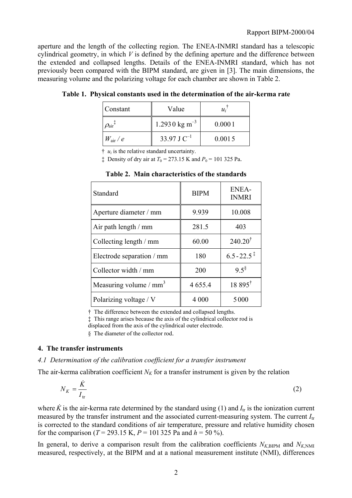aperture and the length of the collecting region. The ENEA-INMRI standard has a telescopic cylindrical geometry, in which *V* is defined by the defining aperture and the difference between the extended and collapsed lengths. Details of the ENEA-INMRI standard, which has not previously been compared with the BIPM standard, are given in [3]. The main dimensions, the measuring volume and the polarizing voltage for each chamber are shown in Table 2.

| Constant                 | Value                      | $u_i$  |
|--------------------------|----------------------------|--------|
| $\mathcal{D}_\text{air}$ | $1.2930 \text{ kg m}^{-3}$ | 0.0001 |
| $W_{\rm air}$ / $e$      | 33.97 J $C^{-1}$           | 0.0015 |

**Table 1. Physical constants used in the determination of the air-kerma rate**

 $\uparrow u_i$  is the relative standard uncertainty.

<sup> $\ddagger$ </sup> Density of dry air at *T*<sub>0</sub> = 273.15 K and *P*<sub>0</sub> = 101 325 Pa.

| Standard                           | <b>BIPM</b> | <b>ENEA-</b><br><b>INMRI</b> |
|------------------------------------|-------------|------------------------------|
| Aperture diameter / mm             | 9.939       | 10.008                       |
| Air path length / mm               | 281.5       | 403                          |
| Collecting length / mm             | 60.00       | $240.20^{\dagger}$           |
| Electrode separation / mm          | 180         | $6.5 - 22.5$                 |
| Collector width / mm               | 200         | $9.5^{\$}$                   |
| Measuring volume / mm <sup>3</sup> | 4 6 5 5 . 4 | $18.895^{\dagger}$           |
| Polarizing voltage / V             | 4 000       | 5000                         |

**Table 2. Main characteristics of the standards**

† The difference between the extended and collapsed lengths.

‡ This range arises because the axis of the cylindrical collector rod is

displaced from the axis of the cylindrical outer electrode.

§ The diameter of the collector rod.

### **4. The transfer instruments**

### *4.1 Determination of the calibration coefficient for a transfer instrument*

The air-kerma calibration coefficient  $N_K$  for a transfer instrument is given by the relation

$$
N_K = \frac{\dot{K}}{I_{\text{tr}}} \tag{2}
$$

where  $\dot{K}$  is the air-kerma rate determined by the standard using (1) and  $I_{tr}$  is the ionization current measured by the transfer instrument and the associated current-measuring system. The current *I*tr is corrected to the standard conditions of air temperature, pressure and relative humidity chosen for the comparison ( $T = 293.15$  K,  $P = 101325$  Pa and  $h = 50\%$ ).

In general, to derive a comparison result from the calibration coefficients  $N_{K,\text{BIPM}}$  and  $N_{K,\text{NMI}}$ measured, respectively, at the BIPM and at a national measurement institute (NMI), differences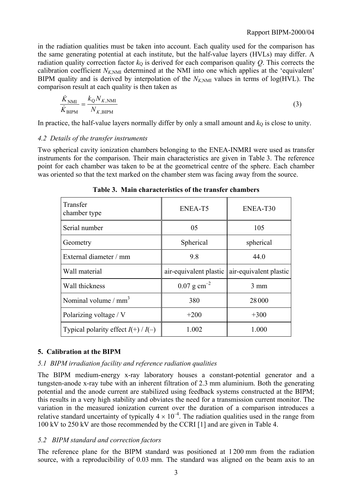in the radiation qualities must be taken into account. Each quality used for the comparison has the same generating potential at each institute, but the half-value layers (HVLs) may differ. A radiation quality correction factor  $k_0$  is derived for each comparison quality *Q*. This corrects the calibration coefficient  $N_{K,NMI}$  determined at the NMI into one which applies at the 'equivalent' BIPM quality and is derived by interpolation of the  $N_{K,NM}$  values in terms of log(HVL). The comparison result at each quality is then taken as

$$
\frac{\dot{K}_{\text{NMI}}}{\dot{K}_{\text{BIPM}}} = \frac{k_{\text{Q}} N_{K,\text{NMI}}}{N_{K,\text{BIPM}}} \tag{3}
$$

In practice, the half-value layers normally differ by only a small amount and  $k<sub>O</sub>$  is close to unity.

### *4.2 Details of the transfer instruments*

Two spherical cavity ionization chambers belonging to the ENEA-INMRI were used as transfer instruments for the comparison. Their main characteristics are given in Table 3. The reference point for each chamber was taken to be at the geometrical centre of the sphere. Each chamber was oriented so that the text marked on the chamber stem was facing away from the source.

| Transfer<br>chamber type                | ENEA-T5                   | ENEA-T30               |
|-----------------------------------------|---------------------------|------------------------|
| Serial number                           | 05                        | 105                    |
| Geometry                                | Spherical                 | spherical              |
| External diameter / mm                  | 9.8                       | 44.0                   |
| Wall material                           | air-equivalent plastic    | air-equivalent plastic |
| Wall thickness                          | $0.07$ g cm <sup>-2</sup> | $3 \text{ mm}$         |
| Nominal volume $/mm3$                   | 380                       | 28000                  |
| Polarizing voltage / V                  | $+200$                    | $+300$                 |
| Typical polarity effect $I(+)$ / $I(-)$ | 1.002                     | 1.000                  |

**Table 3. Main characteristics of the transfer chambers**

# **5. Calibration at the BIPM**

### *5.1 BIPM irradiation facility and reference radiation qualities*

The BIPM medium-energy x-ray laboratory houses a constant-potential generator and a tungsten-anode x-ray tube with an inherent filtration of 2.3 mm aluminium. Both the generating potential and the anode current are stabilized using feedback systems constructed at the BIPM; this results in a very high stability and obviates the need for a transmission current monitor. The variation in the measured ionization current over the duration of a comparison introduces a relative standard uncertainty of typically  $4 \times 10^{-4}$ . The radiation qualities used in the range from 100 kV to 250 kV are those recommended by the CCRI [1] and are given in Table 4.

# *5.2 BIPM standard and correction factors*

The reference plane for the BIPM standard was positioned at 1 200 mm from the radiation source, with a reproducibility of 0.03 mm. The standard was aligned on the beam axis to an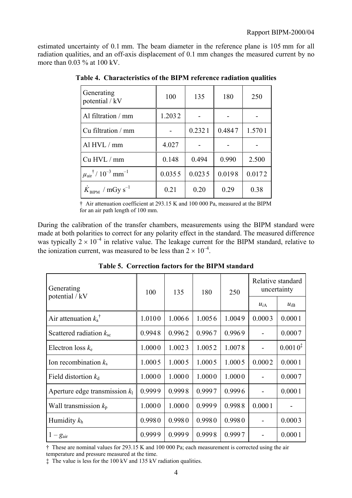estimated uncertainty of 0.1 mm. The beam diameter in the reference plane is 105 mm for all radiation qualities, and an off-axis displacement of 0.1 mm changes the measured current by no more than 0.03 % at 100 kV.

| Generating<br>potential / kV                              | 100    | 135    | 180    | 250    |
|-----------------------------------------------------------|--------|--------|--------|--------|
| Al filtration / mm                                        | 1.2032 |        |        |        |
| Cu filtration / mm                                        |        | 0.2321 | 0.4847 | 1.5701 |
| Al HVL / mm                                               | 4.027  |        |        |        |
| Cu HVL / mm                                               | 0.148  | 0.494  | 0.990  | 2.500  |
| $\mu_{\text{air}}^{\dagger}$ / $10^{-3}$ mm <sup>-1</sup> | 0.0355 | 0.0235 | 0.0198 | 0.0172 |
| $K_{\text{RIPM}}$ / mGy s <sup>-1</sup>                   | 0.21   | 0.20   | 0.29   | 0.38   |

**Table 4. Characteristics of the BIPM reference radiation qualities**

† Air attenuation coefficient at 293.15 K and 100 000 Pa, measured at the BIPM for an air path length of 100 mm.

During the calibration of the transfer chambers, measurements using the BIPM standard were made at both polarities to correct for any polarity effect in the standard. The measured difference was typically  $2 \times 10^{-4}$  in relative value. The leakage current for the BIPM standard, relative to the ionization current, was measured to be less than  $2 \times 10^{-4}$ .

| Generating                       | 100    | 135    | 180    | 250    | Relative standard<br>uncertainty |              |
|----------------------------------|--------|--------|--------|--------|----------------------------------|--------------|
| potential / kV                   |        |        |        |        | $u_{iA}$                         | $u_{iB}$     |
| Air attenuation $k_a^{\dagger}$  | 1.0100 | 1.0066 | 1.0056 | 1.0049 | 0.0003                           | 0.0001       |
| Scattered radiation $k_{\rm sc}$ | 0.9948 | 0.9962 | 0.9967 | 0.9969 |                                  | 0.0007       |
| Electron loss $k_e$              | 1.0000 | 1.0023 | 1.0052 | 1.0078 |                                  | $0.0010^{*}$ |
| Ion recombination $k_s$          | 1.0005 | 1.0005 | 1.0005 | 1.0005 | 0.0002                           | 0.0001       |
| Field distortion $k_d$           | 1.0000 | 1.0000 | 1.0000 | 1.0000 |                                  | 0.0007       |
| Aperture edge transmission $k_1$ | 0.9999 | 0.9998 | 0.9997 | 0.9996 |                                  | 0.0001       |
| Wall transmission $k_p$          | 1.0000 | 1.0000 | 0.9999 | 0.9988 | 0.0001                           |              |
| Humidity $k_h$                   | 0.9980 | 0.9980 | 0.9980 | 0.9980 | $\blacksquare$                   | 0.0003       |
| $1-g_{\text{air}}$               | 0.9999 | 0.9999 | 0.9998 | 0.9997 |                                  | 0.0001       |

**Table 5. Correction factors for the BIPM standard**

† These are nominal values for 293.15 K and 100 000 Pa; each measurement is corrected using the air temperature and pressure measured at the time.

‡ The value is less for the 100 kV and 135 kV radiation qualities.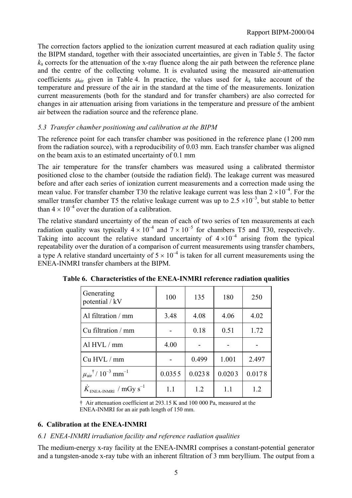The correction factors applied to the ionization current measured at each radiation quality using the BIPM standard, together with their associated uncertainties, are given in Table 5. The factor  $k_a$  corrects for the attenuation of the x-ray fluence along the air path between the reference plane and the centre of the collecting volume. It is evaluated using the measured air-attenuation coefficients  $\mu_{air}$  given in Table 4. In practice, the values used for  $k_a$  take account of the temperature and pressure of the air in the standard at the time of the measurements. Ionization current measurements (both for the standard and for transfer chambers) are also corrected for changes in air attenuation arising from variations in the temperature and pressure of the ambient air between the radiation source and the reference plane.

# *5.3 Transfer chamber positioning and calibration at the BIPM*

The reference point for each transfer chamber was positioned in the reference plane (1 200 mm from the radiation source), with a reproducibility of 0.03 mm. Each transfer chamber was aligned on the beam axis to an estimated uncertainty of 0.1 mm

The air temperature for the transfer chambers was measured using a calibrated thermistor positioned close to the chamber (outside the radiation field). The leakage current was measured before and after each series of ionization current measurements and a correction made using the mean value. For transfer chamber T30 the relative leakage current was less than  $2 \times 10^{-4}$ . For the smaller transfer chamber T5 the relative leakage current was up to  $2.5 \times 10^{-3}$ , but stable to better than  $4 \times 10^{-4}$  over the duration of a calibration

The relative standard uncertainty of the mean of each of two series of ten measurements at each radiation quality was typically  $4 \times 10^{-4}$  and  $7 \times 10^{-5}$  for chambers T5 and T30, respectively. Taking into account the relative standard uncertainty of  $4 \times 10^{-4}$  arising from the typical repeatability over the duration of a comparison of current measurements using transfer chambers, a type A relative standard uncertainty of  $5 \times 10^{-4}$  is taken for all current measurements using the ENEA-INMRI transfer chambers at the BIPM.

| Generating<br>potential / kV                              | 100    | 135    | 180    | 250    |
|-----------------------------------------------------------|--------|--------|--------|--------|
| Al filtration $/mm$                                       | 3.48   | 4.08   | 4.06   | 4.02   |
| Cu filtration / mm                                        |        | 0.18   | 0.51   | 1.72   |
| Al HVL / mm                                               | 4.00   |        |        |        |
| Cu HVL / mm                                               |        | 0.499  | 1.001  | 2.497  |
| $\mu_{\text{air}}^{\dagger}$ / $10^{-3}$ mm <sup>-1</sup> | 0.0355 | 0.0238 | 0.0203 | 0.0178 |
| $K_{ENEA-INMRI}$ / mGy s <sup>-1</sup>                    | 1.1    | 1.2    | 1.1    | 1.2    |

**Table 6. Characteristics of the ENEA-INMRI reference radiation qualities**

† Air attenuation coefficient at 293.15 K and 100 000 Pa, measured at the ENEA-INMRI for an air path length of 150 mm.

# **6. Calibration at the ENEA-INMRI**

# *6.1 ENEA-INMRI irradiation facility and reference radiation qualities*

The medium-energy x-ray facility at the ENEA-INMRI comprises a constant-potential generator and a tungsten-anode x-ray tube with an inherent filtration of 3 mm beryllium. The output from a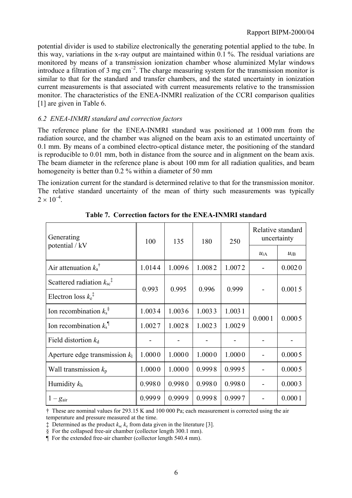potential divider is used to stabilize electronically the generating potential applied to the tube. In this way, variations in the x-ray output are maintained within 0.1 %. The residual variations are monitored by means of a transmission ionization chamber whose aluminized Mylar windows introduce a filtration of 3 mg  $cm^{-2}$ . The charge measuring system for the transmission monitor is similar to that for the standard and transfer chambers, and the stated uncertainty in ionization current measurements is that associated with current measurements relative to the transmission monitor. The characteristics of the ENEA-INMRI realization of the CCRI comparison qualities [1] are given in Table 6.

### *6.2 ENEA-INMRI standard and correction factors*

The reference plane for the ENEA-INMRI standard was positioned at 1 000 mm from the radiation source, and the chamber was aligned on the beam axis to an estimated uncertainty of 0.1 mm. By means of a combined electro-optical distance meter, the positioning of the standard is reproducible to 0.01 mm, both in distance from the source and in alignment on the beam axis. The beam diameter in the reference plane is about 100 mm for all radiation qualities, and beam homogeneity is better than 0.2 % within a diameter of 50 mm

The ionization current for the standard is determined relative to that for the transmission monitor. The relative standard uncertainty of the mean of thirty such measurements was typically  $2 \times 10^{-4}$ 

| Generating<br>potential / kV                             | 100    | 135    | 180    | 250    | Relative standard<br>uncertainty |          |
|----------------------------------------------------------|--------|--------|--------|--------|----------------------------------|----------|
|                                                          |        |        |        |        | $u_{iA}$                         | $u_{iB}$ |
| Air attenuation $k_a^{\dagger}$                          | 1.0144 | 1.0096 | 1.0082 | 1.0072 |                                  | 0.0020   |
| Scattered radiation $k_{sc}^{\dagger}$                   | 0.993  | 0.995  | 0.996  | 0.999  |                                  | 0.0015   |
| Electron loss $k_{e}^{\ddagger}$                         |        |        |        |        |                                  |          |
| Ion recombination $k_s^{\S}$                             | 1.0034 | 1.0036 | 1.0033 | 1.0031 | 0.0001                           | 0.0005   |
| Ion recombination $k_s$ <sup><math>\text{I}</math></sup> | 1.0027 | 1.0028 | 1.0023 | 1.0029 |                                  |          |
| Field distortion $k_d$                                   |        |        |        |        |                                  |          |
| Aperture edge transmission $k_1$                         | 1.0000 | 1.0000 | 1.0000 | 1.0000 |                                  | 0.0005   |
| Wall transmission $k_p$                                  | 1.0000 | 1.0000 | 0.9998 | 0.9995 |                                  | 0.0005   |
| Humidity $k_h$                                           | 0.9980 | 0.9980 | 0.9980 | 0.9980 |                                  | 0.0003   |
| $1-g_{\text{air}}$                                       | 0.9999 | 0.9999 | 0.9998 | 0.9997 |                                  | 0.0001   |

**Table 7. Correction factors for the ENEA-INMRI standard**

† These are nominal values for 293.15 K and 100 000 Pa; each measurement is corrected using the air temperature and pressure measured at the time.

 $\ddagger$  Determined as the product  $k_{sc} k_e$  from data given in the literature [3].

<sup>§</sup> For the collapsed free-air chamber (collector length 300.1 mm).

<sup>¶</sup> For the extended free-air chamber (collector length 540.4 mm).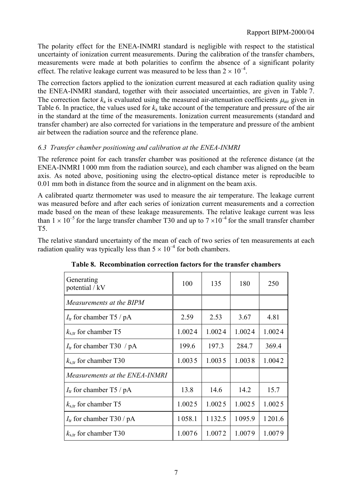The polarity effect for the ENEA-INMRI standard is negligible with respect to the statistical uncertainty of ionization current measurements. During the calibration of the transfer chambers, measurements were made at both polarities to confirm the absence of a significant polarity effect. The relative leakage current was measured to be less than  $2 \times 10^{-4}$ .

The correction factors applied to the ionization current measured at each radiation quality using the ENEA-INMRI standard, together with their associated uncertainties, are given in Table 7. The correction factor  $k_a$  is evaluated using the measured air-attenuation coefficients  $\mu_{air}$  given in Table 6. In practice, the values used for  $k_a$  take account of the temperature and pressure of the air in the standard at the time of the measurements. Ionization current measurements (standard and transfer chamber) are also corrected for variations in the temperature and pressure of the ambient air between the radiation source and the reference plane.

# *6.3 Transfer chamber positioning and calibration at the ENEA-INMRI*

The reference point for each transfer chamber was positioned at the reference distance (at the ENEA-INMRI 1 000 mm from the radiation source), and each chamber was aligned on the beam axis. As noted above, positioning using the electro-optical distance meter is reproducible to 0.01 mm both in distance from the source and in alignment on the beam axis.

A calibrated quartz thermometer was used to measure the air temperature. The leakage current was measured before and after each series of ionization current measurements and a correction made based on the mean of these leakage measurements. The relative leakage current was less than  $1 \times 10^{-5}$  for the large transfer chamber T30 and up to  $7 \times 10^{-4}$  for the small transfer chamber T5.

The relative standard uncertainty of the mean of each of two series of ten measurements at each radiation quality was typically less than  $5 \times 10^{-4}$  for both chambers.

| Generating<br>potential / kV    | 100    | 135         | 180    | 250    |
|---------------------------------|--------|-------------|--------|--------|
| Measurements at the BIPM        |        |             |        |        |
| $I_{tr}$ for chamber T5 / pA    | 2.59   | 2.53        | 3.67   | 4.81   |
| $k_{\text{str}}$ for chamber T5 | 1.0024 | 1.0024      | 1.0024 | 1.0024 |
| $I_{tr}$ for chamber T30 / pA   | 199.6  | 197.3       | 284.7  | 369.4  |
| $k_{\rm s,tr}$ for chamber T30  | 1.0035 | 1.0035      | 1.0038 | 1.0042 |
| Measurements at the ENEA-INMRI  |        |             |        |        |
| $I_{tr}$ for chamber T5 / pA    | 13.8   | 14.6        | 14.2   | 15.7   |
| $k_{s,tr}$ for chamber T5       | 1.0025 | 1.0025      | 1.0025 | 1.0025 |
| $I_{tr}$ for chamber T30 / pA   | 1058.1 | 1 1 3 2 . 5 | 1095.9 | 1201.6 |
| $k_{\rm s,tr}$ for chamber T30  | 1.0076 | 1.0072      | 1.0079 | 1.0079 |

**Table 8. Recombination correction factors for the transfer chambers**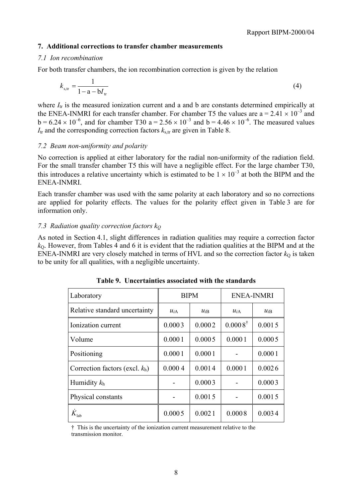### **7. Additional corrections to transfer chamber measurements**

### *7.1 Ion recombination*

For both transfer chambers, the ion recombination correction is given by the relation

$$
k_{s, \text{tr}} = \frac{1}{1 - a - bI_{\text{tr}}}
$$
(4)

where  $I_{tr}$  is the measured ionization current and a and b are constants determined empirically at the ENEA-INMRI for each transfer chamber. For chamber T5 the values are  $a = 2.41 \times 10^{-3}$  and  $b = 6.24 \times 10^{-6}$ , and for chamber T30 a = 2.56  $\times 10^{-3}$  and b = 4.46  $\times 10^{-6}$ . The measured values  $I_{tr}$  and the corresponding correction factors  $k_{str}$  are given in Table 8.

### *7.2 Beam non-uniformity and polarity*

No correction is applied at either laboratory for the radial non-uniformity of the radiation field. For the small transfer chamber T5 this will have a negligible effect. For the large chamber T30, this introduces a relative uncertainty which is estimated to be  $1 \times 10^{-3}$  at both the BIPM and the ENEA-INMRI.

Each transfer chamber was used with the same polarity at each laboratory and so no corrections are applied for polarity effects. The values for the polarity effect given in Table 3 are for information only.

### *7.3 Radiation quality correction factors kQ*

As noted in Section 4.1, slight differences in radiation qualities may require a correction factor  $k<sub>0</sub>$ . However, from Tables 4 and 6 it is evident that the radiation qualities at the BIPM and at the ENEA-INMRI are very closely matched in terms of HVL and so the correction factor  $k<sub>Q</sub>$  is taken to be unity for all qualities, with a negligible uncertainty.

| Laboratory                        | <b>BIPM</b>          |        | <b>ENEA-INMRI</b>  |          |  |
|-----------------------------------|----------------------|--------|--------------------|----------|--|
| Relative standard uncertainty     | $u_{iA}$<br>$u_{iB}$ |        | $u_{iA}$           | $u_{iB}$ |  |
| Ionization current                | 0.0003               | 0.0002 | $0.0008^{\dagger}$ | 0.0015   |  |
| Volume                            | 0.0001               | 0.0005 | 0.0001             | 0.0005   |  |
| Positioning                       | 0.0001               | 0.0001 |                    | 0.0001   |  |
| Correction factors (excl. $k_h$ ) | 0.0004               | 0.0014 | 0.0001             | 0.0026   |  |
| Humidity $k_h$                    |                      | 0.0003 |                    | 0.0003   |  |
| Physical constants                |                      | 0.0015 |                    | 0.0015   |  |
| $\dot{K}_{\rm lab}$               | 0.0005               | 0.0021 | 0.0008             | 0.0034   |  |

**Table 9. Uncertainties associated with the standards**

† This is the uncertainty of the ionization current measurement relative to the transmission monitor.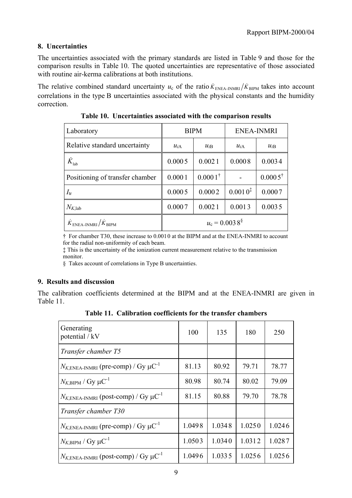# **8. Uncertainties**

The uncertainties associated with the primary standards are listed in Table 9 and those for the comparison results in Table 10. The quoted uncertainties are representative of those associated with routine air-kerma calibrations at both institutions.

The relative combined standard uncertainty  $u_c$  of the ratio  $\dot{K}_{ENEA-INMRI}/\dot{K}_{BIPM}$  takes into account correlations in the type B uncertainties associated with the physical constants and the humidity correction.

| Laboratory                                           | <b>BIPM</b>                 |                    | <b>ENEA-INMRI</b> |                    |  |
|------------------------------------------------------|-----------------------------|--------------------|-------------------|--------------------|--|
| Relative standard uncertainty                        | $u_{iA}$<br>$u_{iB}$        |                    | $u_{iA}$          | $u_{iB}$           |  |
| $K_{\text{lab}}$                                     | 0.0005                      | 0.0021             | 0.0008            | 0.0034             |  |
| Positioning of transfer chamber                      | 0.0001                      | $0.0001^{\dagger}$ |                   | $0.0005^{\dagger}$ |  |
| $I_{\rm tr}$                                         | 0.0005                      | 0.0002             | $0.0010^{*}$      | 0.0007             |  |
| $N_{K,lab}$                                          | 0.0007                      | 0.0021             | 0.0013            | 0.0035             |  |
| $\dot{K}_{\rm ENEA\text{-}INMRI}/\dot{K}_{\rm BIPM}$ | $u_c = 0.0038$ <sup>§</sup> |                    |                   |                    |  |

**Table 10. Uncertainties associated with the comparison results**

† For chamber T30, these increase to 0.001 0 at the BIPM and at the ENEA-INMRI to account for the radial non-uniformity of each beam.

‡ This is the uncertainty of the ionization current measurement relative to the transmission monitor.

§ Takes account of correlations in Type B uncertainties.

### **9. Results and discussion**

The calibration coefficients determined at the BIPM and at the ENEA-INMRI are given in Table 11.

**Table 11. Calibration coefficients for the transfer chambers**

| Generating<br>potential / kV                              | 100    | 135    | 180    | 250    |
|-----------------------------------------------------------|--------|--------|--------|--------|
| Transfer chamber T5                                       |        |        |        |        |
| $N_{K,ENEA-INMRI}$ (pre-comp) / Gy $\mu C^{-1}$           | 81.13  | 80.92  | 79.71  | 78.77  |
| $N_{K,\text{BIPM}}$ / Gy $\mu\text{C}^{-1}$               | 80.98  | 80.74  | 80.02  | 79.09  |
| $N_{K,ENEA-IMRII}$ (post-comp) / Gy $\mu$ C <sup>-1</sup> | 81.15  | 80.88  | 79.70  | 78.78  |
| Transfer chamber T30                                      |        |        |        |        |
| $N_{K,ENEA-INMRI}$ (pre-comp) / Gy $\mu$ C <sup>-1</sup>  | 1.0498 | 1.0348 | 1.0250 | 1.0246 |
| $N_{K,\text{BIPM}}$ / Gy $\mu\text{C}^{-1}$               | 1.0503 | 1.0340 | 1.0312 | 1.0287 |
| $N_{K,ENEA\text{-}INMRI}$ (post-comp) / Gy $\mu C^{-1}$   | 1.0496 | 1.0335 | 1.0256 | 1.0256 |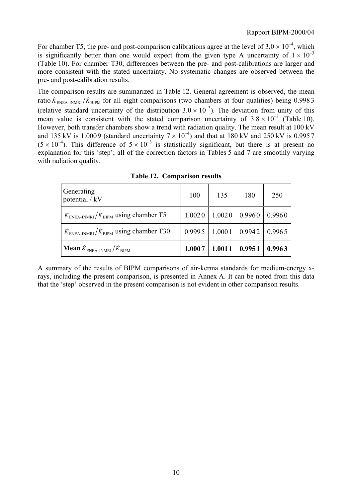For chamber T5, the pre- and post-comparison calibrations agree at the level of  $3.0 \times 10^{-4}$ , which is significantly better than one would expect from the given type A uncertainty of  $1 \times 10^{-3}$ (Table 10). For chamber T30, differences between the pre- and post-calibrations are larger and more consistent with the stated uncertainty. No systematic changes are observed between the pre- and post-calibration results.

The comparison results are summarized in Table 12. General agreement is observed, the mean ratio  $K_{ENEA-INMRI}/K_{BIPM}$  for all eight comparisons (two chambers at four qualities) being 0.9983 (relative standard uncertainty of the distribution  $3.0 \times 10^{-3}$ ). The deviation from unity of this mean value is consistent with the stated comparison uncertainty of  $3.8 \times 10^{-3}$  (Table 10). However, both transfer chambers show a trend with radiation quality. The mean result at 100 kV and 135 kV is 1.0009 (standard uncertainty  $7 \times 10^{-4}$ ) and that at 180 kV and 250 kV is 0.9957  $(5 \times 10^{-4})$ . This difference of  $5 \times 10^{-3}$  is statistically significant, but there is at present no explanation for this 'step'; all of the correction factors in Tables  $\frac{1}{2}$  and 7 are smoothly varying with radiation quality.

| Generating<br>potential / kV                             | 100                                                   | 135                          | 180 | 250    |
|----------------------------------------------------------|-------------------------------------------------------|------------------------------|-----|--------|
| $K_{\text{ENEA-INMRI}}/K_{\text{BIPM}}$ using chamber T5 |                                                       | $1.0020$   $1.0020$   0.9960 |     | 0.9960 |
| $\dot{K}_{ENEA-IMRI}/\dot{K}_{BIPM}$ using chamber T30   | $\vert 0.9995 \vert 1.0001 \vert 0.9942 \vert 0.9965$ |                              |     |        |
| <b>Mean</b> $K_{ENEA-INMRI}/K_{BIPM}$                    | 1.0007                                                | 1.0011 0.9951                |     | 0.9963 |

**Table 12. Comparison results**

A summary of the results of BIPM comparisons of air-kerma standards for medium-energy xrays, including the present comparison, is presented in Annex A. It can be noted from this data that the 'step' observed in the present comparison is not evident in other comparison results.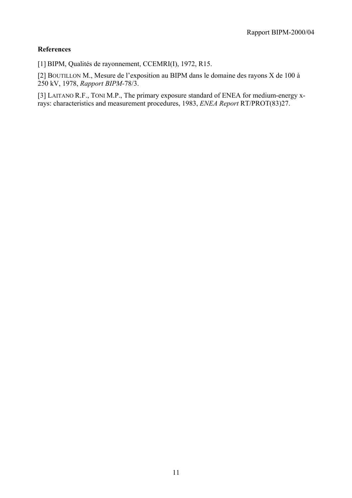### **References**

[1] BIPM, Qualités de rayonnement, CCEMRI(I), 1972, R15.

[2] BOUTILLON M., Mesure de l'exposition au BIPM dans le domaine des rayons X de 100 à 250 kV, 1978, *Rapport BIPM-*78/3.

[3] LAITANO R.F., TONI M.P., The primary exposure standard of ENEA for medium-energy xrays: characteristics and measurement procedures, 1983, *ENEA Report* RT/PROT(83)27.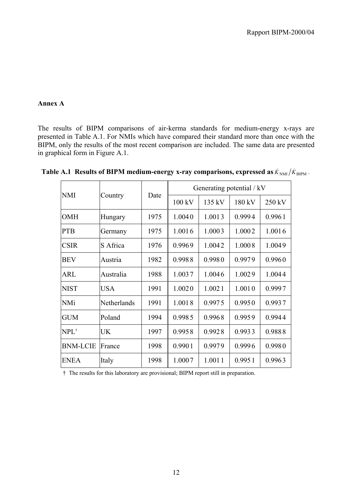### **Annex A**

The results of BIPM comparisons of air-kerma standards for medium-energy x-rays are presented in Table A.1. For NMIs which have compared their standard more than once with the BIPM, only the results of the most recent comparison are included. The same data are presented in graphical form in Figure A.1.

| <b>NMI</b>       | Country     | Date | Generating potential / kV |                  |        |        |
|------------------|-------------|------|---------------------------|------------------|--------|--------|
|                  |             |      | 100 kV                    | $135 \text{ kV}$ | 180 kV | 250 kV |
| <b>OMH</b>       | Hungary     | 1975 | 1.0040                    | 1.0013           | 0.9994 | 0.9961 |
| <b>PTB</b>       | Germany     | 1975 | 1.0016                    | 1.0003           | 1.0002 | 1.0016 |
| <b>CSIR</b>      | S Africa    | 1976 | 0.9969                    | 1.0042           | 1.0008 | 1.0049 |
| <b>BEV</b>       | Austria     | 1982 | 0.9988                    | 0.9980           | 0.9979 | 0.9960 |
| <b>ARL</b>       | Australia   | 1988 | 1.0037                    | 1.0046           | 1.0029 | 1.0044 |
| <b>NIST</b>      | <b>USA</b>  | 1991 | 1.0020                    | 1.0021           | 1.0010 | 0.9997 |
| <b>NMi</b>       | Netherlands | 1991 | 1.0018                    | 0.9975           | 0.9950 | 0.9937 |
| <b>GUM</b>       | Poland      | 1994 | 0.9985                    | 0.9968           | 0.9959 | 0.9944 |
| NPL <sup>†</sup> | <b>UK</b>   | 1997 | 0.9958                    | 0.9928           | 0.9933 | 0.9888 |
| <b>BNM-LCIE</b>  | France      | 1998 | 0.9901                    | 0.9979           | 0.9996 | 0.9980 |
| <b>ENEA</b>      | Italy       | 1998 | 1.0007                    | 1.0011           | 0.9951 | 0.9963 |

**Table A.1 Results of BIPM medium-energy x-ray comparisons, expressed as**  $\dot{K}_{NM}/\dot{K}_{BPM}$ **.** 

† The results for this laboratory are provisional; BIPM report still in preparation.